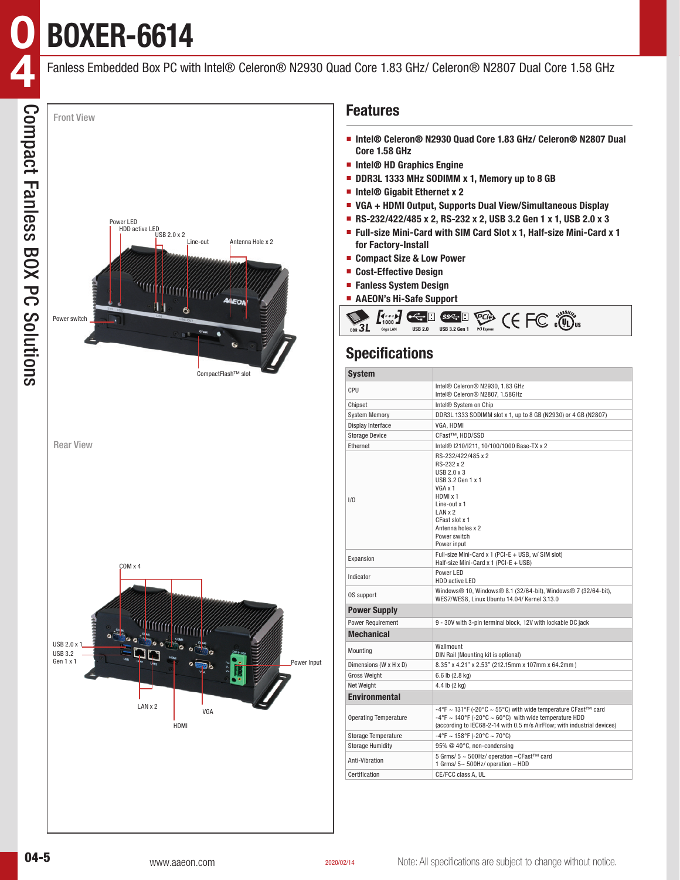**BOXER-6614**

**0**

Fanless Embedded Box PC with Intel® Celeron® N2930 Quad Core 1.83 GHz/ Celeron® N2807 Dual Core 1.58 GHz



### **Features**

- **Intel<sup>®</sup> Celeron<sup>®</sup> N2930 Quad Core 1.83 GHz/ Celeron<sup>®</sup> N2807 Dual Core 1.58 GHz**
- **Intel® HD Graphics Engine**
- **DDR3L 1333 MHz SODIMM x 1, Memory up to 8 GB**
- **Intel® Gigabit Ethernet x 2**
- **VGA + HDMI Output, Supports Dual View/Simultaneous Display**
- **RS-232/422/485 x 2, RS-232 x 2, USB 3.2 Gen 1 x 1, USB 2.0 x 3**
- **Full-size Mini-Card with SIM Card Slot x 1, Half-size Mini-Card x 1 for Factory-Install**
- **Compact Size & Low Power**
- **Cost-Effective Design**
- **Fanless System Design**
- **AAEON's Hi-Safe Support**



# **Specifications**

| <b>System</b>                |                                                                                                                                                                                                               |  |  |  |  |  |  |
|------------------------------|---------------------------------------------------------------------------------------------------------------------------------------------------------------------------------------------------------------|--|--|--|--|--|--|
| CPU                          | Intel® Celeron® N2930, 1.83 GHz<br>Intel® Celeron® N2807, 1.58GHz                                                                                                                                             |  |  |  |  |  |  |
| Chipset                      | Intel <sup>®</sup> System on Chip                                                                                                                                                                             |  |  |  |  |  |  |
| <b>System Memory</b>         | DDR3L 1333 SODIMM slot x 1, up to 8 GB (N2930) or 4 GB (N2807)                                                                                                                                                |  |  |  |  |  |  |
| Display Interface            | VGA, HDMI                                                                                                                                                                                                     |  |  |  |  |  |  |
| <b>Storage Device</b>        | CFast™, HDD/SSD                                                                                                                                                                                               |  |  |  |  |  |  |
| Ethernet                     | Intel® I210/I211, 10/100/1000 Base-TX x 2                                                                                                                                                                     |  |  |  |  |  |  |
| 1/0                          | RS-232/422/485 x 2<br>RS-232 x 2<br>USB 2.0 x 3<br>USB 3.2 Gen 1 x 1<br>VGA x 1<br>HDMI x 1<br>Line-out $x$ 1<br>LANx2<br>CFast slot x 1<br>Antenna holes x 2<br>Power switch<br>Power input                  |  |  |  |  |  |  |
| Expansion                    | Full-size Mini-Card x 1 (PCI-E + USB, w/ SIM slot)<br>Half-size Mini-Card $x$ 1 (PCI-E + USB)                                                                                                                 |  |  |  |  |  |  |
| Indicator                    | Power LED<br>HDD active LED                                                                                                                                                                                   |  |  |  |  |  |  |
| OS support                   | Windows® 10. Windows® 8.1 (32/64-bit). Windows® 7 (32/64-bit).<br>WES7/WES8, Linux Ubuntu 14.04/ Kernel 3.13.0                                                                                                |  |  |  |  |  |  |
| <b>Power Supply</b>          |                                                                                                                                                                                                               |  |  |  |  |  |  |
| Power Requirement            | 9 - 30V with 3-pin terminal block, 12V with lockable DC jack                                                                                                                                                  |  |  |  |  |  |  |
| <b>Mechanical</b>            |                                                                                                                                                                                                               |  |  |  |  |  |  |
| Mounting                     | Wallmount<br>DIN Rail (Mounting kit is optional)                                                                                                                                                              |  |  |  |  |  |  |
| Dimensions (W x H x D)       | 8.35" x 4.21" x 2.53" (212.15mm x 107mm x 64.2mm)                                                                                                                                                             |  |  |  |  |  |  |
| <b>Gross Weight</b>          | 6.6 lb (2.8 kg)                                                                                                                                                                                               |  |  |  |  |  |  |
| Net Weight                   | 4.4 lb (2 kg)                                                                                                                                                                                                 |  |  |  |  |  |  |
| <b>Environmental</b>         |                                                                                                                                                                                                               |  |  |  |  |  |  |
| <b>Operating Temperature</b> | -4°F ~ 131°F (-20°C ~ 55°C) with wide temperature CFast <sup>™</sup> card<br>-4°F ~ 140°F (-20°C ~ 60°C) with wide temperature HDD<br>(according to IEC68-2-14 with 0.5 m/s AirFlow; with industrial devices) |  |  |  |  |  |  |
| <b>Storage Temperature</b>   | $-4$ °F ~ 158°F (-20°C ~ 70°C)                                                                                                                                                                                |  |  |  |  |  |  |
| <b>Storage Humidity</b>      | 95% @ 40°C, non-condensing                                                                                                                                                                                    |  |  |  |  |  |  |
| Anti-Vihration               | 5 Grms/ 5 ~ 500Hz/ operation - CFast™ card<br>1 Grms/ $5 - 500$ Hz/ operation - HDD                                                                                                                           |  |  |  |  |  |  |
| Certification                | CE/FCC class A, UL                                                                                                                                                                                            |  |  |  |  |  |  |